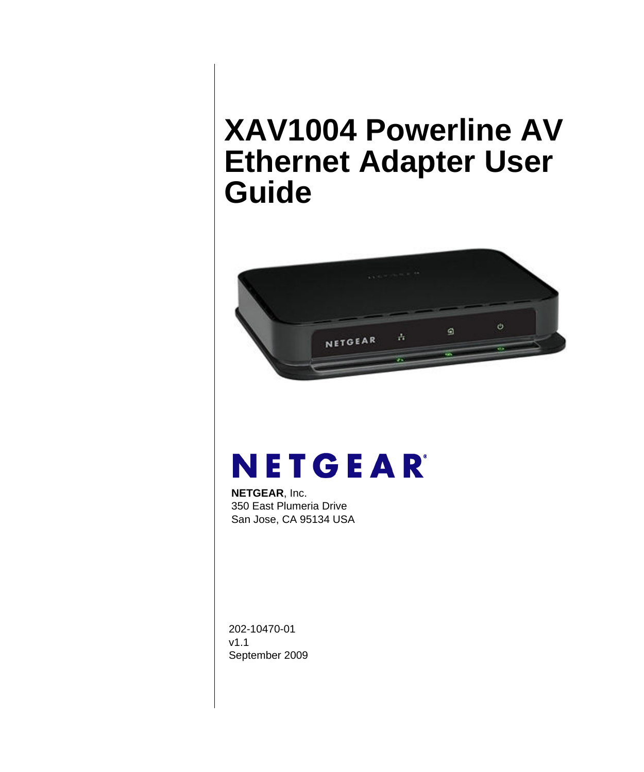# <span id="page-0-0"></span>**XAV1004 Powerline AV Ethernet Adapter User Guide**



# NETGEAR

**NETGEAR**, Inc. 350 East Plumeria Drive San Jose, CA 95134 USA

202-10470-01 v1.1 September 2009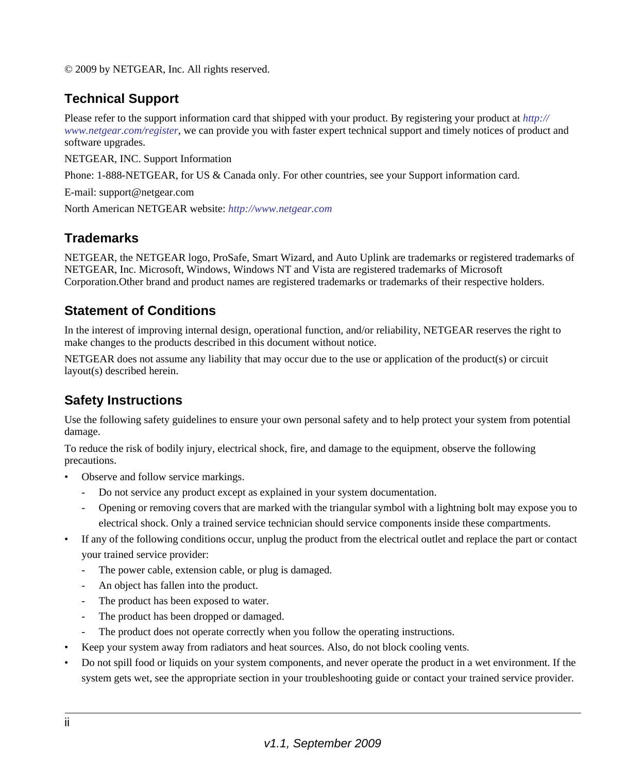© 2009 by NETGEAR, Inc. All rights reserved.

#### **Technical Support**

Please refer to the support information card that shipped with your product. By registering your product at *[http://](http://www.netgear.com/register) [www.netgear.com/register](http://www.netgear.com/register)*, we can provide you with faster expert technical support and timely notices of product and software upgrades.

NETGEAR, INC. Support Information

Phone: 1-888-NETGEAR, for US & Canada only. For other countries, see your Support information card.

E-mail: support@netgear.com

North American NETGEAR website: *<http://www.netgear.com>*

#### **Trademarks**

NETGEAR, the NETGEAR logo, ProSafe, Smart Wizard, and Auto Uplink are trademarks or registered trademarks of NETGEAR, Inc. Microsoft, Windows, Windows NT and Vista are registered trademarks of Microsoft Corporation.Other brand and product names are registered trademarks or trademarks of their respective holders.

#### **Statement of Conditions**

In the interest of improving internal design, operational function, and/or reliability, NETGEAR reserves the right to make changes to the products described in this document without notice.

NETGEAR does not assume any liability that may occur due to the use or application of the product(s) or circuit layout(s) described herein.

#### **Safety Instructions**

Use the following safety guidelines to ensure your own personal safety and to help protect your system from potential damage.

To reduce the risk of bodily injury, electrical shock, fire, and damage to the equipment, observe the following precautions.

- Observe and follow service markings.
	- Do not service any product except as explained in your system documentation.
	- Opening or removing covers that are marked with the triangular symbol with a lightning bolt may expose you to electrical shock. Only a trained service technician should service components inside these compartments.
- If any of the following conditions occur, unplug the product from the electrical outlet and replace the part or contact your trained service provider:
	- The power cable, extension cable, or plug is damaged.
	- An object has fallen into the product.
	- The product has been exposed to water.
	- The product has been dropped or damaged.
	- The product does not operate correctly when you follow the operating instructions.
- Keep your system away from radiators and heat sources. Also, do not block cooling vents.
- Do not spill food or liquids on your system components, and never operate the product in a wet environment. If the system gets wet, see the appropriate section in your troubleshooting guide or contact your trained service provider.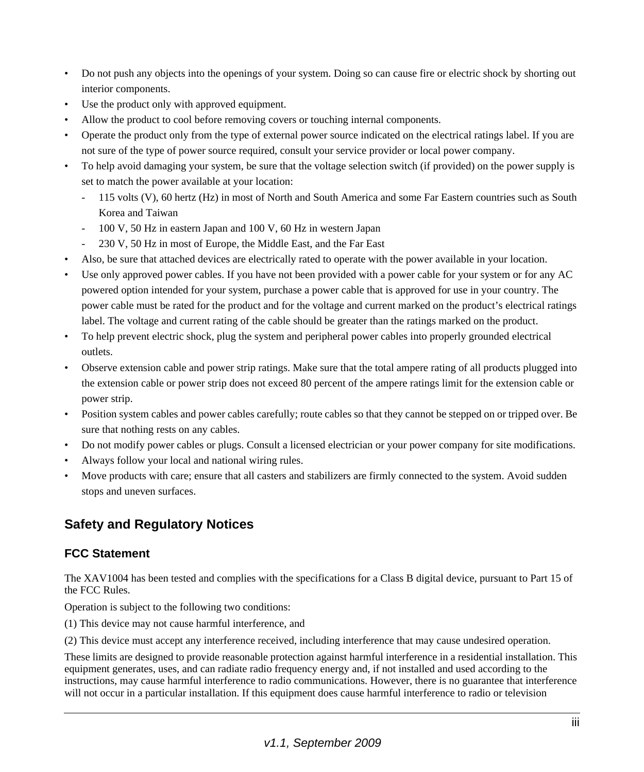- Do not push any objects into the openings of your system. Doing so can cause fire or electric shock by shorting out interior components.
- Use the product only with approved equipment.
- Allow the product to cool before removing covers or touching internal components.
- Operate the product only from the type of external power source indicated on the electrical ratings label. If you are not sure of the type of power source required, consult your service provider or local power company.
- To help avoid damaging your system, be sure that the voltage selection switch (if provided) on the power supply is set to match the power available at your location:
	- 115 volts (V), 60 hertz (Hz) in most of North and South America and some Far Eastern countries such as South Korea and Taiwan
	- 100 V, 50 Hz in eastern Japan and 100 V, 60 Hz in western Japan
	- 230 V, 50 Hz in most of Europe, the Middle East, and the Far East
- Also, be sure that attached devices are electrically rated to operate with the power available in your location.
- Use only approved power cables. If you have not been provided with a power cable for your system or for any AC powered option intended for your system, purchase a power cable that is approved for use in your country. The power cable must be rated for the product and for the voltage and current marked on the product's electrical ratings label. The voltage and current rating of the cable should be greater than the ratings marked on the product.
- To help prevent electric shock, plug the system and peripheral power cables into properly grounded electrical outlets.
- Observe extension cable and power strip ratings. Make sure that the total ampere rating of all products plugged into the extension cable or power strip does not exceed 80 percent of the ampere ratings limit for the extension cable or power strip.
- Position system cables and power cables carefully; route cables so that they cannot be stepped on or tripped over. Be sure that nothing rests on any cables.
- Do not modify power cables or plugs. Consult a licensed electrician or your power company for site modifications.
- Always follow your local and national wiring rules.
- Move products with care; ensure that all casters and stabilizers are firmly connected to the system. Avoid sudden stops and uneven surfaces.

#### **Safety and Regulatory Notices**

#### **FCC Statement**

The XAV1004 has been tested and complies with the specifications for a Class B digital device, pursuant to Part 15 of the FCC Rules.

Operation is subject to the following two conditions:

(1) This device may not cause harmful interference, and

(2) This device must accept any interference received, including interference that may cause undesired operation.

These limits are designed to provide reasonable protection against harmful interference in a residential installation. This equipment generates, uses, and can radiate radio frequency energy and, if not installed and used according to the instructions, may cause harmful interference to radio communications. However, there is no guarantee that interference will not occur in a particular installation. If this equipment does cause harmful interference to radio or television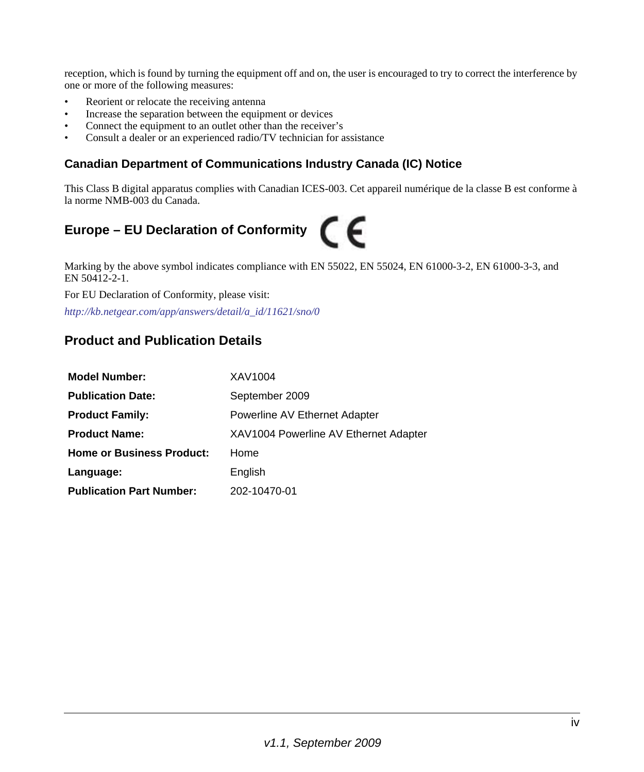reception, which is found by turning the equipment off and on, the user is encouraged to try to correct the interference by one or more of the following measures:

- Reorient or relocate the receiving antenna
- Increase the separation between the equipment or devices
- Connect the equipment to an outlet other than the receiver's
- Consult a dealer or an experienced radio/TV technician for assistance

#### **Canadian Department of Communications Industry Canada (IC) Notice**

This Class B digital apparatus complies with Canadian ICES-003. Cet appareil numérique de la classe B est conforme à la norme NMB-003 du Canada.

# **Europe – EU Declaration of Conformity**

Marking by the above symbol indicates compliance with EN 55022, EN 55024, EN 61000-3-2, EN 61000-3-3, and EN 50412-2-1.

For EU Declaration of Conformity, please visit:

*http://kb.netgear.com/app/answers/detail/a\_id/11621/sno/0*

#### **Product and Publication Details**

| <b>Model Number:</b>                       | XAV1004                               |
|--------------------------------------------|---------------------------------------|
| <b>Publication Date:</b><br>September 2009 |                                       |
| <b>Product Family:</b>                     | Powerline AV Ethernet Adapter         |
| <b>Product Name:</b>                       | XAV1004 Powerline AV Ethernet Adapter |
| <b>Home or Business Product:</b>           | Home                                  |
| Language:                                  | English                               |
| <b>Publication Part Number:</b>            | 202-10470-01                          |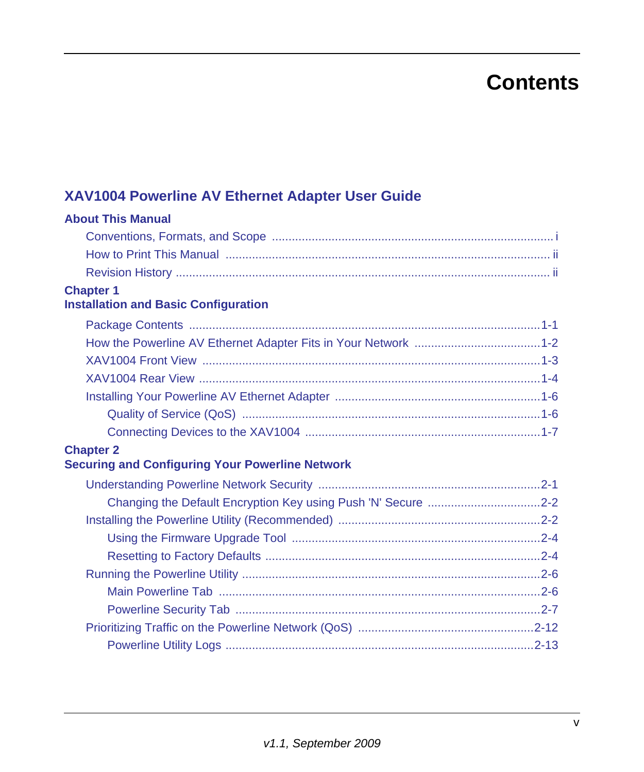# **Contents**

### **[XAV1004 Powerline AV Ethernet Adapter User Guide](#page-0-0)**

| <b>About This Manual</b>                                      |
|---------------------------------------------------------------|
|                                                               |
|                                                               |
|                                                               |
| <b>Chapter 1</b>                                              |
| <b>Installation and Basic Configuration</b>                   |
|                                                               |
|                                                               |
|                                                               |
| XAV1004 Rear View …………………………………………………………………………………………1-4       |
|                                                               |
|                                                               |
|                                                               |
| <b>Chapter 2</b>                                              |
| <b>Securing and Configuring Your Powerline Network</b>        |
|                                                               |
| Changing the Default Encryption Key using Push 'N' Secure 2-2 |
|                                                               |
|                                                               |
|                                                               |
|                                                               |
|                                                               |
|                                                               |
|                                                               |
|                                                               |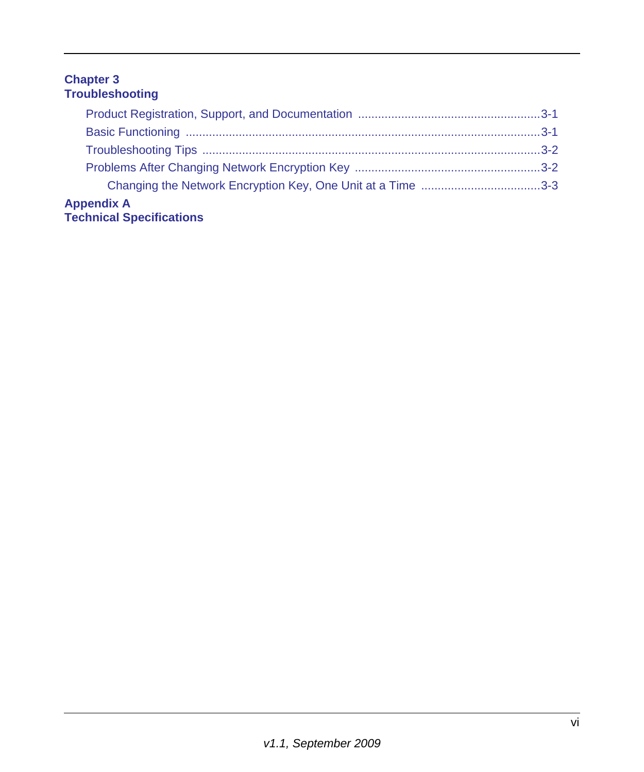#### **Chapter 3 [Troubleshooting](#page-29-0)**

| <b>Appendix A</b><br><b>Technical Specifications</b> |  |
|------------------------------------------------------|--|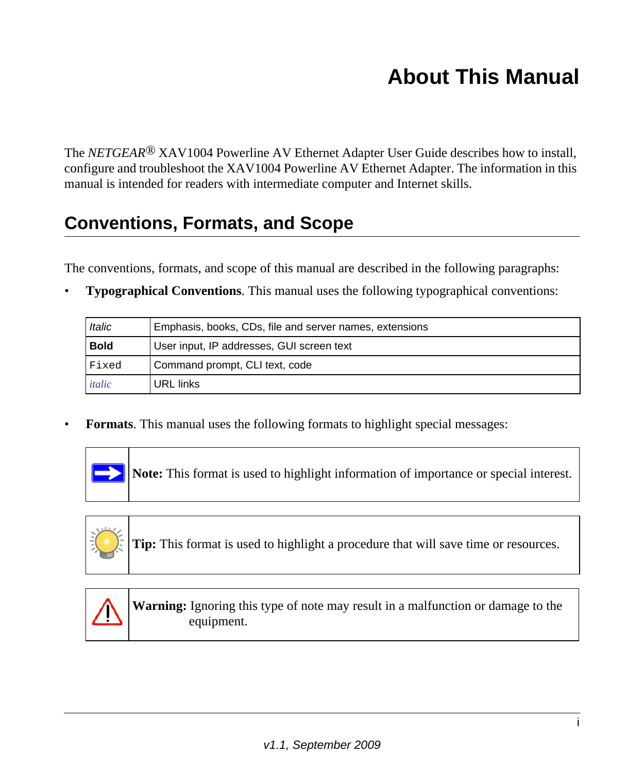# **About This Manual**

<span id="page-6-0"></span>The *NETGEAR<sup>®</sup>* XAV1004 Powerline AV Ethernet Adapter User Guide describes how to install, configure and troubleshoot the XAV1004 Powerline AV Ethernet Adapter. The information in this manual is intended for readers with intermediate computer and Internet skills.

### <span id="page-6-1"></span>**Conventions, Formats, and Scope**

The conventions, formats, and scope of this manual are described in the following paragraphs:

• **Typographical Conventions**. This manual uses the following typographical conventions:

| <b>Italic</b> | Emphasis, books, CDs, file and server names, extensions |
|---------------|---------------------------------------------------------|
| <b>Bold</b>   | User input, IP addresses, GUI screen text               |
| Fixed         | Command prompt, CLI text, code                          |
| italic        | URL links                                               |

• **Formats**. This manual uses the following formats to highlight special messages:



**Note:** This format is used to highlight information of importance or special interest.



**Tip:** This format is used to highlight a procedure that will save time or resources.



**Warning:** Ignoring this type of note may result in a malfunction or damage to the equipment.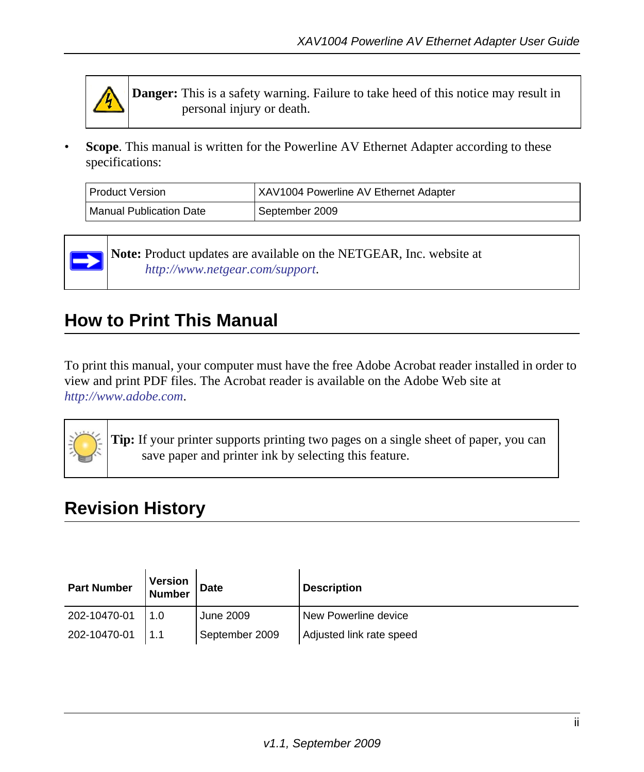

**Danger:** This is a safety warning. Failure to take heed of this notice may result in personal injury or death.

**Scope**. This manual is written for the Powerline AV Ethernet Adapter according to these specifications:

| I Product Version       | <b>XAV1004 Powerline AV Ethernet Adapter</b> |
|-------------------------|----------------------------------------------|
| Manual Publication Date | l September 2009                             |



**Note:** [Product updates are available on the NETGEAR, Inc. website at](http://www.netgear.com/support) *[h](http://www.netgear.com/support)ttp://www.netgear.com/support*.

### <span id="page-7-0"></span>**How to Print This Manual**

To print this manual, your computer must have the free Adobe Acrobat reader installed in order to view and print PDF files. The Acrobat reader is available on the Adobe Web site at *<http://www.adobe.com>*.



**Tip:** If your printer supports printing two pages on a single sheet of paper, you can save paper and printer ink by selecting this feature.

### <span id="page-7-1"></span>**Revision History**

| <b>Part Number</b> | Version<br><b>Number</b> | <b>Date</b>    | <b>Description</b>       |
|--------------------|--------------------------|----------------|--------------------------|
| 202-10470-01       | 1.0                      | June 2009      | New Powerline device     |
| 202-10470-01       | 1.1                      | September 2009 | Adjusted link rate speed |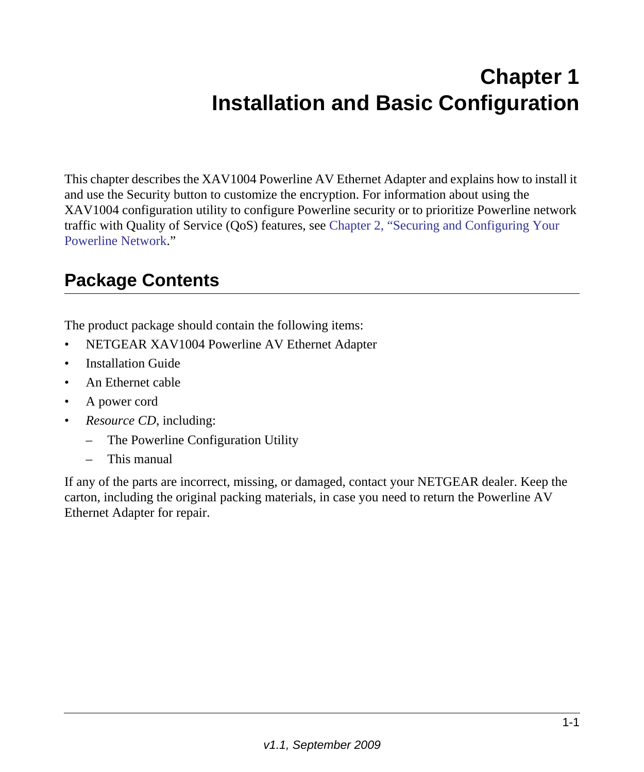# **Chapter 1 Installation and Basic Configuration**

<span id="page-8-0"></span>This chapter describes the XAV1004 Powerline AV Ethernet Adapter and explains how to install it and use the Security button to customize the encryption. For information about using the XAV1004 configuration utility to configure Powerline security or to prioritize Powerline network traffic with Quality of Service (QoS) features, see [Chapter 2, "Securing and Configuring Your](#page-16-2)  [Powerline Network.](#page-16-2)"

### <span id="page-8-1"></span>**Package Contents**

The product package should contain the following items:

- NETGEAR XAV1004 Powerline AV Ethernet Adapter
- Installation Guide
- An Ethernet cable
- A power cord
- *Resource CD*, including:
	- The Powerline Configuration Utility
	- This manual

If any of the parts are incorrect, missing, or damaged, contact your NETGEAR dealer. Keep the carton, including the original packing materials, in case you need to return the Powerline AV Ethernet Adapter for repair.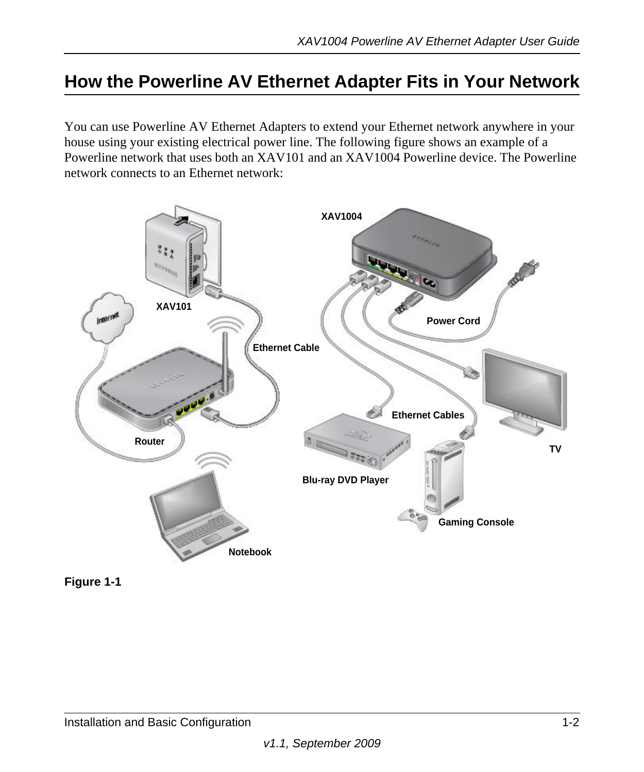### <span id="page-9-0"></span>**How the Powerline AV Ethernet Adapter Fits in Your Network**

You can use Powerline AV Ethernet Adapters to extend your Ethernet network anywhere in your house using your existing electrical power line. The following figure shows an example of a Powerline network that uses both an XAV101 and an XAV1004 Powerline device. The Powerline network connects to an Ethernet network:



**Figure 1-1**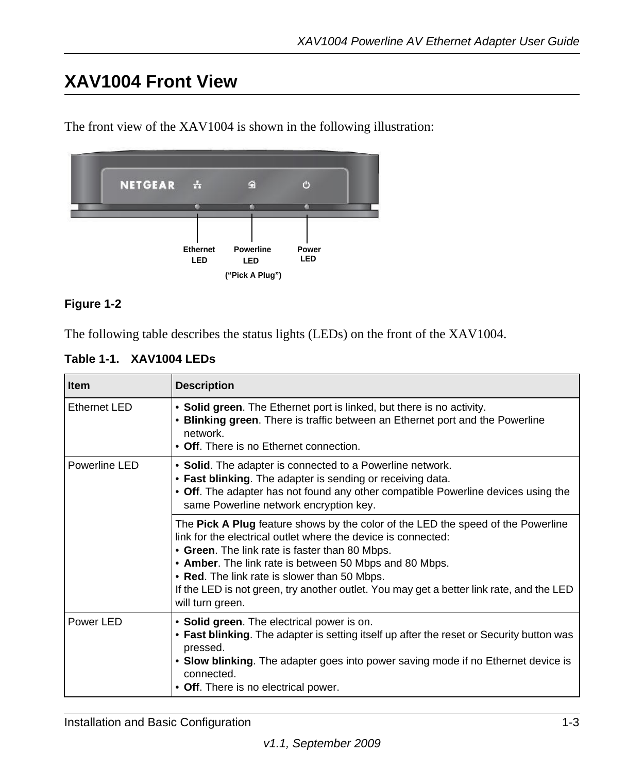### <span id="page-10-0"></span>**XAV1004 Front View**

The front view of the XAV1004 is shown in the following illustration:



#### **Figure 1-2**

The following table describes the status lights (LEDs) on the front of the XAV1004.

|  | Table 1-1. XAV1004 LEDs |
|--|-------------------------|
|--|-------------------------|

| <b>Item</b>   | <b>Description</b>                                                                                                                                                                                                                                                                                                                                                                                                            |
|---------------|-------------------------------------------------------------------------------------------------------------------------------------------------------------------------------------------------------------------------------------------------------------------------------------------------------------------------------------------------------------------------------------------------------------------------------|
| Ethernet LED  | • Solid green. The Ethernet port is linked, but there is no activity.<br>• Blinking green. There is traffic between an Ethernet port and the Powerline<br>network.<br>• Off. There is no Ethernet connection.                                                                                                                                                                                                                 |
| Powerline LED | • Solid. The adapter is connected to a Powerline network.<br>• Fast blinking. The adapter is sending or receiving data.<br>• Off. The adapter has not found any other compatible Powerline devices using the<br>same Powerline network encryption key.                                                                                                                                                                        |
|               | The Pick A Plug feature shows by the color of the LED the speed of the Powerline<br>link for the electrical outlet where the device is connected:<br>• Green. The link rate is faster than 80 Mbps.<br>• Amber. The link rate is between 50 Mbps and 80 Mbps.<br>• Red. The link rate is slower than 50 Mbps.<br>If the LED is not green, try another outlet. You may get a better link rate, and the LED<br>will turn green. |
| Power LED     | • Solid green. The electrical power is on.<br>• Fast blinking. The adapter is setting itself up after the reset or Security button was<br>pressed.<br>• Slow blinking. The adapter goes into power saving mode if no Ethernet device is<br>connected.<br>• Off. There is no electrical power.                                                                                                                                 |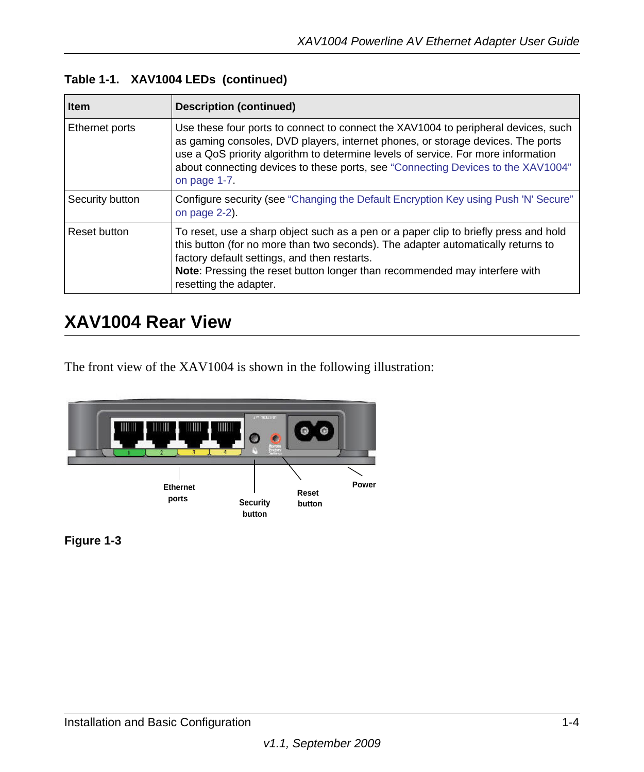| <b>Item</b>     | <b>Description (continued)</b>                                                                                                                                                                                                                                                                                                                                 |
|-----------------|----------------------------------------------------------------------------------------------------------------------------------------------------------------------------------------------------------------------------------------------------------------------------------------------------------------------------------------------------------------|
| Ethernet ports  | Use these four ports to connect to connect the XAV1004 to peripheral devices, such<br>as gaming consoles, DVD players, internet phones, or storage devices. The ports<br>use a QoS priority algorithm to determine levels of service. For more information<br>about connecting devices to these ports, see "Connecting Devices to the XAV1004"<br>on page 1-7. |
| Security button | Configure security (see "Changing the Default Encryption Key using Push 'N' Secure"<br>on page $2-2$ ).                                                                                                                                                                                                                                                        |
| Reset button    | To reset, use a sharp object such as a pen or a paper clip to briefly press and hold<br>this button (for no more than two seconds). The adapter automatically returns to<br>factory default settings, and then restarts.<br>Note: Pressing the reset button longer than recommended may interfere with<br>resetting the adapter.                               |

### <span id="page-11-0"></span>**XAV1004 Rear View**

The front view of the XAV1004 is shown in the following illustration:



**Figure 1-3**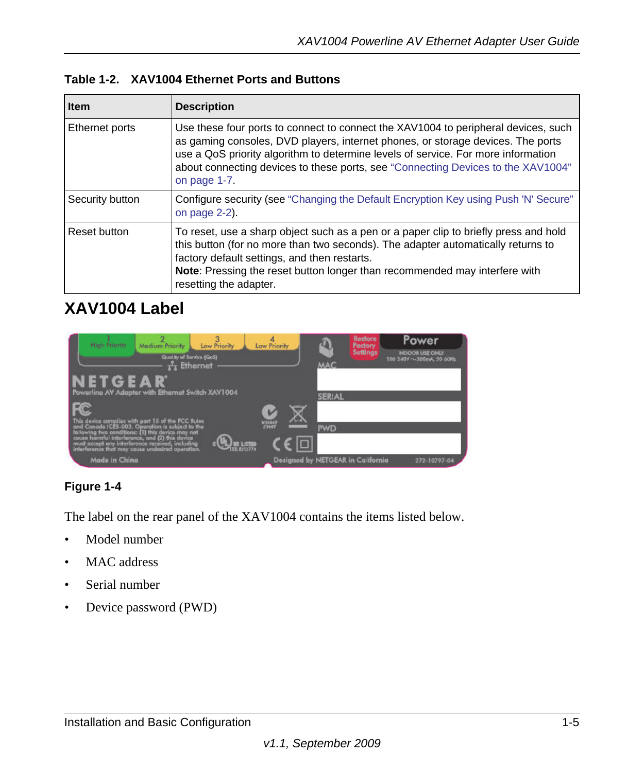|  |  | Table 1-2. XAV1004 Ethernet Ports and Buttons |
|--|--|-----------------------------------------------|
|--|--|-----------------------------------------------|

| <b>Item</b>     | <b>Description</b>                                                                                                                                                                                                                                                                                                                                             |
|-----------------|----------------------------------------------------------------------------------------------------------------------------------------------------------------------------------------------------------------------------------------------------------------------------------------------------------------------------------------------------------------|
| Ethernet ports  | Use these four ports to connect to connect the XAV1004 to peripheral devices, such<br>as gaming consoles, DVD players, internet phones, or storage devices. The ports<br>use a QoS priority algorithm to determine levels of service. For more information<br>about connecting devices to these ports, see "Connecting Devices to the XAV1004"<br>on page 1-7. |
| Security button | Configure security (see "Changing the Default Encryption Key using Push 'N' Secure"<br>on page 2-2).                                                                                                                                                                                                                                                           |
| Reset button    | To reset, use a sharp object such as a pen or a paper clip to briefly press and hold<br>this button (for no more than two seconds). The adapter automatically returns to<br>factory default settings, and then restarts.<br><b>Note:</b> Pressing the reset button longer than recommended may interfere with<br>resetting the adapter.                        |

### **XAV1004 Label**

| <b>Might Prigrity:</b><br>Low Priority<br>Medium Priority<br>Quality of Service (QoS)<br>$\frac{1}{k+1}$ Ethernet                                                                                                                                                   | Low Priority    | Restore<br>ภ<br>Factory<br>Settings<br><b>MAC</b> | Power<br>INDOOR USE ONLY<br>T00 240Y ~ 200mA, 50 60Hz |
|---------------------------------------------------------------------------------------------------------------------------------------------------------------------------------------------------------------------------------------------------------------------|-----------------|---------------------------------------------------|-------------------------------------------------------|
| NETGEAR<br>Powerline AV Adopter with Ethernet Switch XAV1004                                                                                                                                                                                                        |                 | <b>SERIAL</b>                                     |                                                       |
| This device complies with part 15 of the FCC Rules.<br>and Canada ICES-003. Operation is subject to the<br>following two conditions: (1) this device may not<br>cause harmful interference, and (2) this device<br>must accept any interference received, including | N10947<br>Z1667 | <b>PWD</b>                                        |                                                       |
| interference that may cause undesired operation.<br><b>Made in China</b>                                                                                                                                                                                            |                 | Designed by NETGEAR in California                 | 272-10797-04                                          |

#### **Figure 1-4**

The label on the rear panel of the XAV1004 contains the items listed below.

- Model number
- MAC address
- Serial number
- Device password (PWD)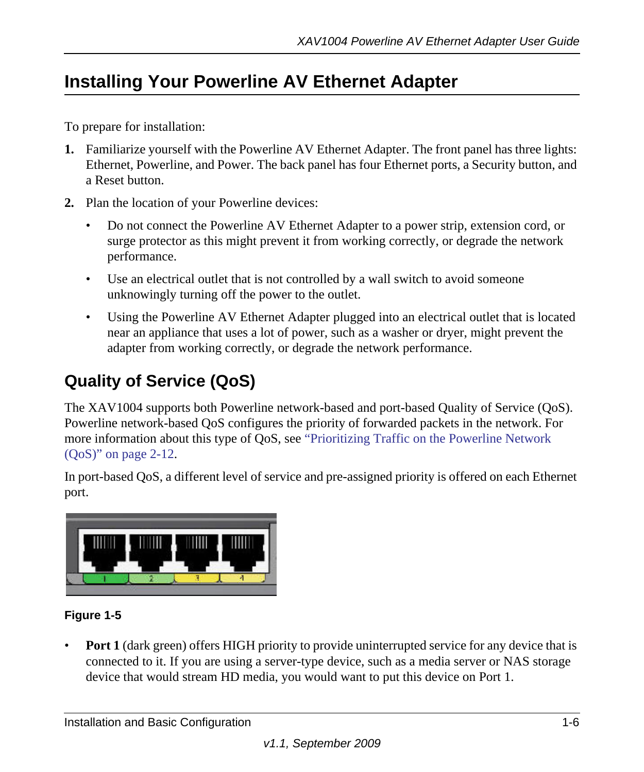### <span id="page-13-0"></span>**Installing Your Powerline AV Ethernet Adapter**

To prepare for installation:

- **1.** Familiarize yourself with the Powerline AV Ethernet Adapter. The front panel has three lights: Ethernet, Powerline, and Power. The back panel has four Ethernet ports, a Security button, and a Reset button.
- **2.** Plan the location of your Powerline devices:
	- Do not connect the Powerline AV Ethernet Adapter to a power strip, extension cord, or surge protector as this might prevent it from working correctly, or degrade the network performance.
	- Use an electrical outlet that is not controlled by a wall switch to avoid someone unknowingly turning off the power to the outlet.
	- Using the Powerline AV Ethernet Adapter plugged into an electrical outlet that is located near an appliance that uses a lot of power, such as a washer or dryer, might prevent the adapter from working correctly, or degrade the network performance.

### <span id="page-13-1"></span>**Quality of Service (QoS)**

The XAV1004 supports both Powerline network-based and port-based Quality of Service (QoS). Powerline network-based QoS configures the priority of forwarded packets in the network. For more information about this type of QoS, see ["Prioritizing Traffic on the Powerline Network](#page-27-1)  [\(QoS\)" on page 2-12.](#page-27-1)

In port-based QoS, a different level of service and pre-assigned priority is offered on each Ethernet port.



#### **Figure 1-5**

• **Port 1** (dark green) offers HIGH priority to provide uninterrupted service for any device that is connected to it. If you are using a server-type device, such as a media server or NAS storage device that would stream HD media, you would want to put this device on Port 1.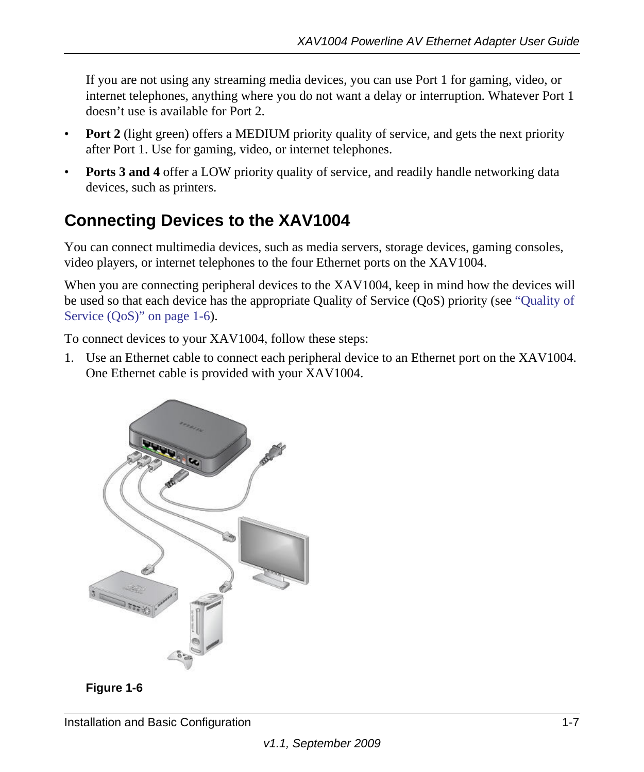If you are not using any streaming media devices, you can use Port 1 for gaming, video, or internet telephones, anything where you do not want a delay or interruption. Whatever Port 1 doesn't use is available for Port 2.

- **Port 2** (light green) offers a MEDIUM priority quality of service, and gets the next priority after Port 1. Use for gaming, video, or internet telephones.
- **Ports 3 and 4** offer a LOW priority quality of service, and readily handle networking data devices, such as printers.

### <span id="page-14-0"></span>**Connecting Devices to the XAV1004**

You can connect multimedia devices, such as media servers, storage devices, gaming consoles, video players, or internet telephones to the four Ethernet ports on the XAV1004.

When you are connecting peripheral devices to the XAV1004, keep in mind how the devices will be used so that each device has the appropriate Quality of Service (QoS) priority (see ["Quality of](#page-13-1)  [Service \(QoS\)" on page 1-6](#page-13-1)).

To connect devices to your XAV1004, follow these steps:

1. Use an Ethernet cable to connect each peripheral device to an Ethernet port on the XAV1004. One Ethernet cable is provided with your XAV1004.



**Figure 1-6**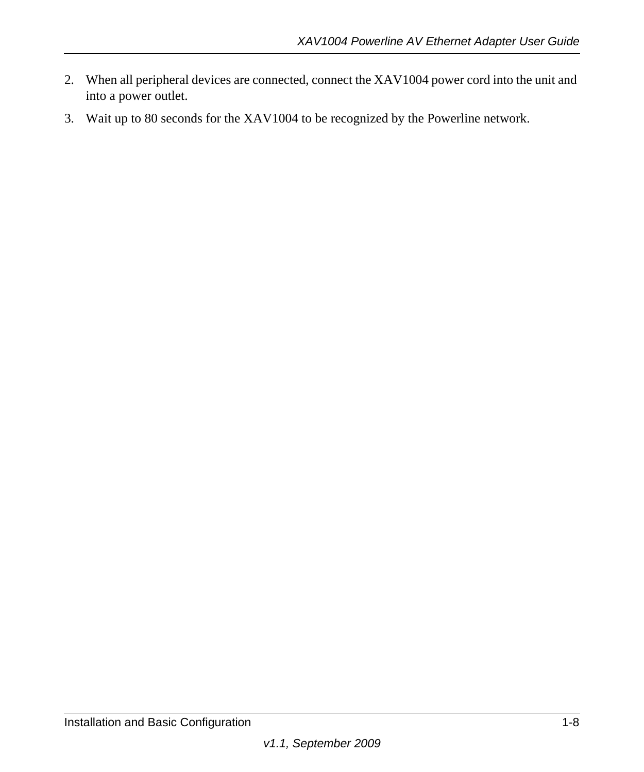- 2. When all peripheral devices are connected, connect the XAV1004 power cord into the unit and into a power outlet.
- 3. Wait up to 80 seconds for the XAV1004 to be recognized by the Powerline network.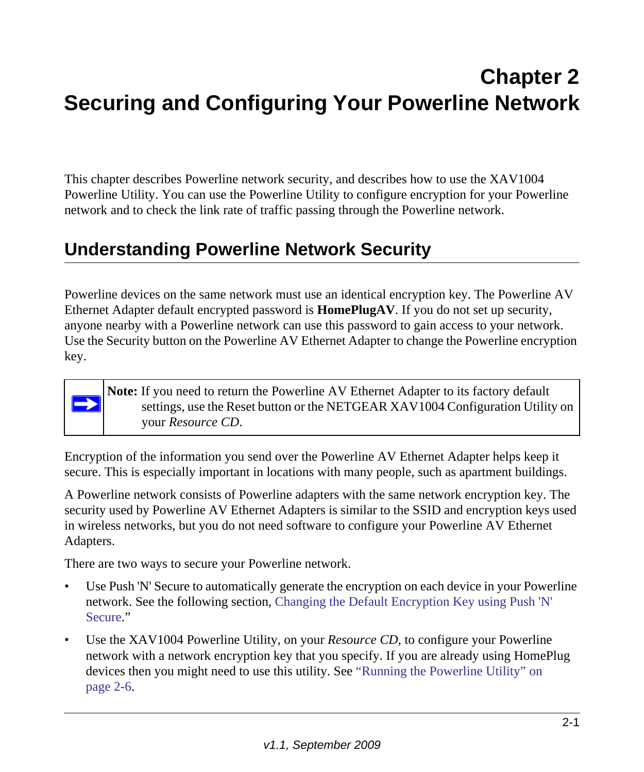# <span id="page-16-2"></span><span id="page-16-0"></span>**Chapter 2 Securing and Configuring Your Powerline Network**

This chapter describes Powerline network security, and describes how to use the XAV1004 Powerline Utility. You can use the Powerline Utility to configure encryption for your Powerline network and to check the link rate of traffic passing through the Powerline network.

### <span id="page-16-1"></span>**Understanding Powerline Network Security**

Powerline devices on the same network must use an identical encryption key. The Powerline AV Ethernet Adapter default encrypted password is **HomePlugAV**. If you do not set up security, anyone nearby with a Powerline network can use this password to gain access to your network. Use the Security button on the Powerline AV Ethernet Adapter to change the Powerline encryption key.

**Note:** If you need to return the Powerline AV Ethernet Adapter to its factory default settings, use the Reset button or the NETGEAR XAV1004 Configuration Utility on your *Resource CD*.

Encryption of the information you send over the Powerline AV Ethernet Adapter helps keep it secure. This is especially important in locations with many people, such as apartment buildings.

A Powerline network consists of Powerline adapters with the same network encryption key. The security used by Powerline AV Ethernet Adapters is similar to the SSID and encryption keys used in wireless networks, but you do not need software to configure your Powerline AV Ethernet Adapters.

There are two ways to secure your Powerline network.

 $\rightarrow$ 

- Use Push 'N' Secure to automatically generate the encryption on each device in your Powerline network. See the following section, [Changing the Default Encryption Key using Push 'N'](#page-17-0)  [Secure.](#page-17-0)"
- Use the XAV1004 Powerline Utility, on your *Resource CD*, to configure your Powerline network with a network encryption key that you specify. If you are already using HomePlug devices then you might need to use this utility. See ["Running the Powerline Utility" on](#page-21-0)  [page 2-6](#page-21-0).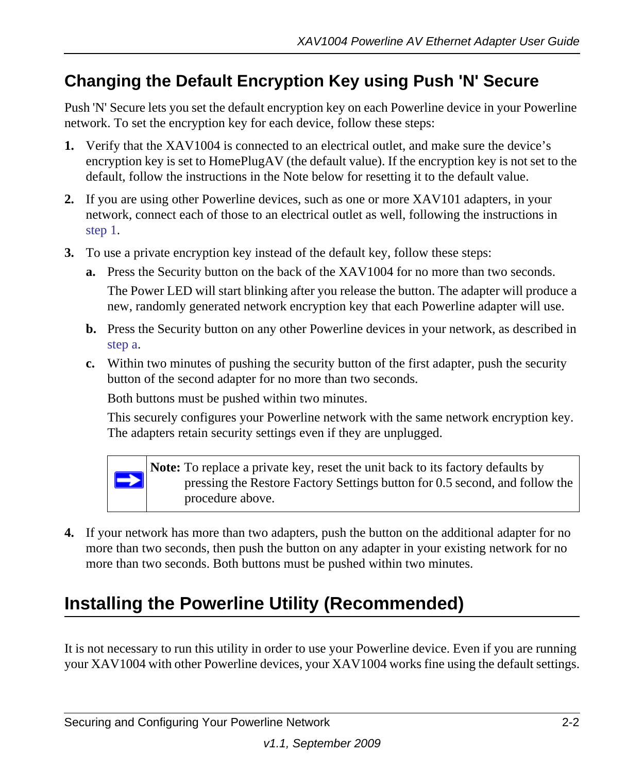### <span id="page-17-2"></span><span id="page-17-0"></span>**Changing the Default Encryption Key using Push 'N' Secure**

Push 'N' Secure lets you set the default encryption key on each Powerline device in your Powerline network. To set the encryption key for each device, follow these steps:

- <span id="page-17-4"></span>**1.** Verify that the XAV1004 is connected to an electrical outlet, and make sure the device's encryption key is set to HomePlugAV (the default value). If the encryption key is not set to the default, follow the instructions in the Note below for resetting it to the default value.
- **2.** If you are using other Powerline devices, such as one or more XAV101 adapters, in your network, connect each of those to an electrical outlet as well, following the instructions in [step 1.](#page-17-4)
- <span id="page-17-3"></span>**3.** To use a private encryption key instead of the default key, follow these steps:
	- **a.** Press the Security button on the back of the XAV1004 for no more than two seconds. The Power LED will start blinking after you release the button. The adapter will produce a new, randomly generated network encryption key that each Powerline adapter will use.
	- **b.** Press the Security button on any other Powerline devices in your network, as described in [step a](#page-17-3).
	- **c.** Within two minutes of pushing the security button of the first adapter, push the security button of the second adapter for no more than two seconds.

Both buttons must be pushed within two minutes.

This securely configures your Powerline network with the same network encryption key. The adapters retain security settings even if they are unplugged.



**Note:** To replace a private key, reset the unit back to its factory defaults by pressing the Restore Factory Settings button for 0.5 second, and follow the procedure above.

**4.** If your network has more than two adapters, push the button on the additional adapter for no more than two seconds, then push the button on any adapter in your existing network for no more than two seconds. Both buttons must be pushed within two minutes.

### <span id="page-17-1"></span>**Installing the Powerline Utility (Recommended)**

It is not necessary to run this utility in order to use your Powerline device. Even if you are running your XAV1004 with other Powerline devices, your XAV1004 works fine using the default settings.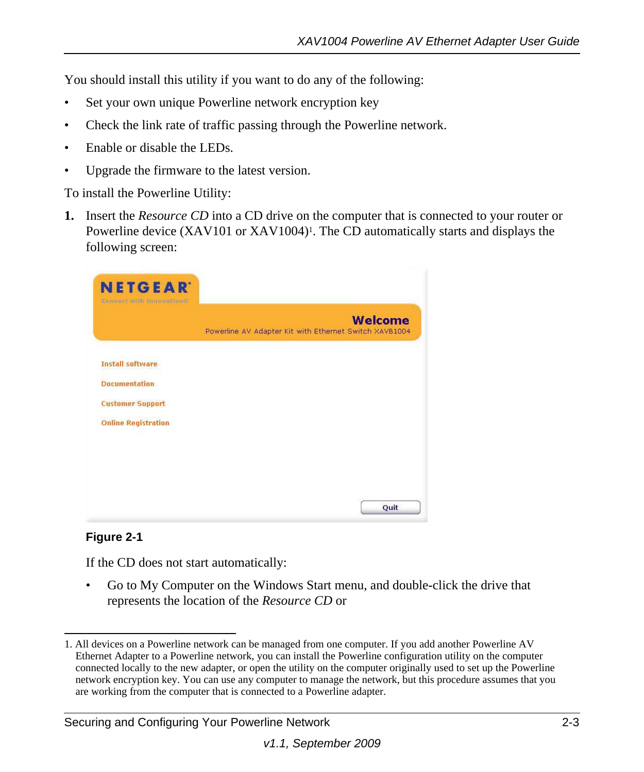You should install this utility if you want to do any of the following:

- Set your own unique Powerline network encryption key
- Check the link rate of traffic passing through the Powerline network.
- Enable or disable the LEDs.
- Upgrade the firmware to the latest version.

To install the Powerline Utility:

**1.** Insert the *Resource CD* into a CD drive on the computer that is connected to your router or Powerline device  $(XAV101$  or  $XAV1004)$ <sup>1</sup>. The CD automatically starts and displays the following screen:

|                            | <b>Welcome</b><br>Powerline AV Adapter Kit with Ethernet Switch XAVB1004 |
|----------------------------|--------------------------------------------------------------------------|
| <b>Install software</b>    |                                                                          |
| <b>Documentation</b>       |                                                                          |
| <b>Customer Support</b>    |                                                                          |
| <b>Online Registration</b> |                                                                          |
|                            |                                                                          |
|                            |                                                                          |

#### **Figure 2-1**

If the CD does not start automatically:

• Go to My Computer on the Windows Start menu, and double-click the drive that represents the location of the *Resource CD* or

#### Securing and Configuring Your Powerline Network 2-3

<sup>1.</sup> All devices on a Powerline network can be managed from one computer. If you add another Powerline AV Ethernet Adapter to a Powerline network, you can install the Powerline configuration utility on the computer connected locally to the new adapter, or open the utility on the computer originally used to set up the Powerline network encryption key. You can use any computer to manage the network, but this procedure assumes that you are working from the computer that is connected to a Powerline adapter.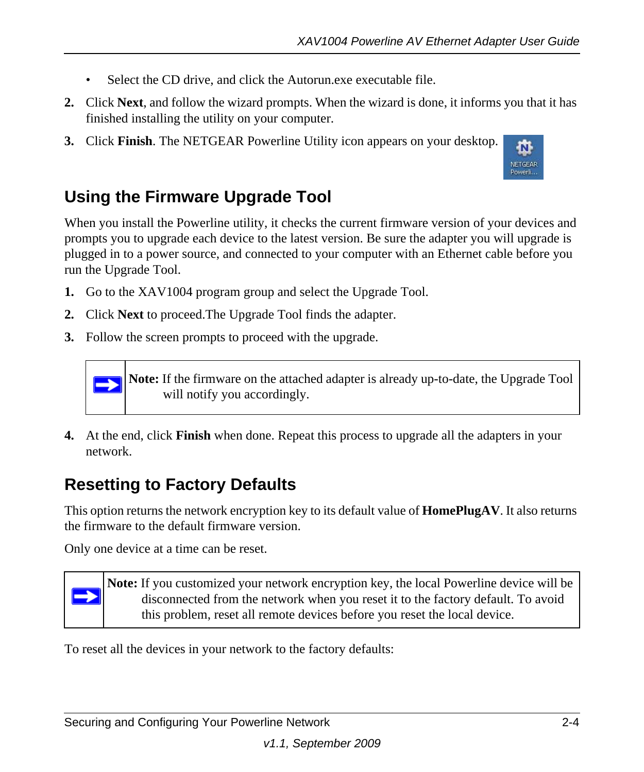- Select the CD drive, and click the Autorun.exe executable file.
- **2.** Click **Next**, and follow the wizard prompts. When the wizard is done, it informs you that it has finished installing the utility on your computer.
- **3.** Click **Finish**. The NETGEAR Powerline Utility icon appears on your desktop.



### <span id="page-19-0"></span>**Using the Firmware Upgrade Tool**

When you install the Powerline utility, it checks the current firmware version of your devices and prompts you to upgrade each device to the latest version. Be sure the adapter you will upgrade is plugged in to a power source, and connected to your computer with an Ethernet cable before you run the Upgrade Tool.

- **1.** Go to the XAV1004 program group and select the Upgrade Tool.
- **2.** Click **Next** to proceed.The Upgrade Tool finds the adapter.
- **3.** Follow the screen prompts to proceed with the upgrade.



**4.** At the end, click **Finish** when done. Repeat this process to upgrade all the adapters in your network.

### <span id="page-19-1"></span>**Resetting to Factory Defaults**

This option returns the network encryption key to its default value of **HomePlugAV**. It also returns the firmware to the default firmware version.

Only one device at a time can be reset.

 $\rightarrow$ 

**Note:** If you customized your network encryption key, the local Powerline device will be disconnected from the network when you reset it to the factory default. To avoid this problem, reset all remote devices before you reset the local device.

To reset all the devices in your network to the factory defaults: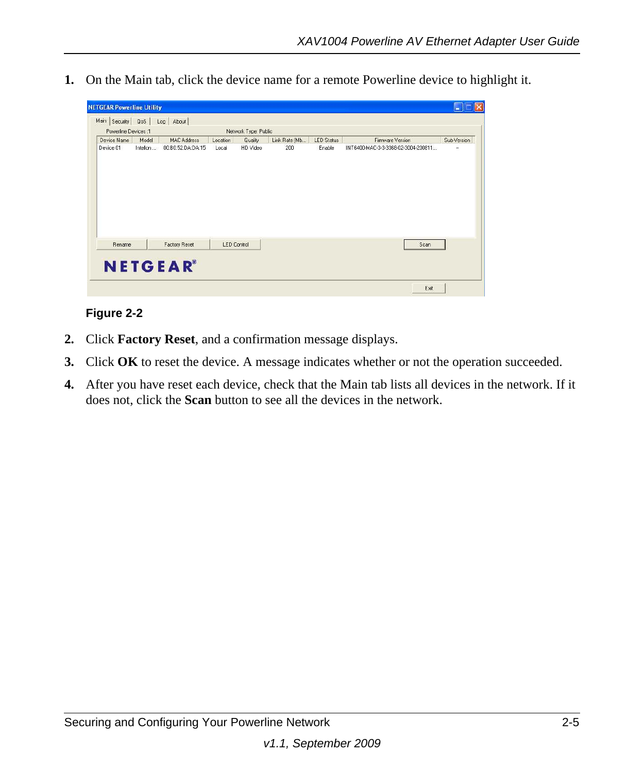**1.** On the Main tab, click the device name for a remote Powerline device to highlight it.

| Device Name<br>Device 01 | Powerline Devices: 1<br>Model<br>Intellon | <b>MAC Address</b><br>00:B0:52:DA:DA:15 | Location<br>Local  | Network Type: Public<br>Quality<br>HD Video | Link Rate (Mb<br>200 | <b>LED Status</b><br>Enable | <b>Firmware Version</b><br>INT6400-MAC-3-3-3368-02-3004-200811 | Sub-Version<br>$\cdot$ |
|--------------------------|-------------------------------------------|-----------------------------------------|--------------------|---------------------------------------------|----------------------|-----------------------------|----------------------------------------------------------------|------------------------|
|                          |                                           |                                         |                    |                                             |                      |                             |                                                                |                        |
|                          |                                           |                                         |                    |                                             |                      |                             |                                                                |                        |
| Rename                   |                                           | <b>Factory Reset</b>                    | <b>LED Control</b> |                                             |                      |                             | Scan                                                           |                        |

#### **Figure 2-2**

- **2.** Click **Factory Reset**, and a confirmation message displays.
- **3.** Click **OK** to reset the device. A message indicates whether or not the operation succeeded.
- **4.** After you have reset each device, check that the Main tab lists all devices in the network. If it does not, click the **Scan** button to see all the devices in the network.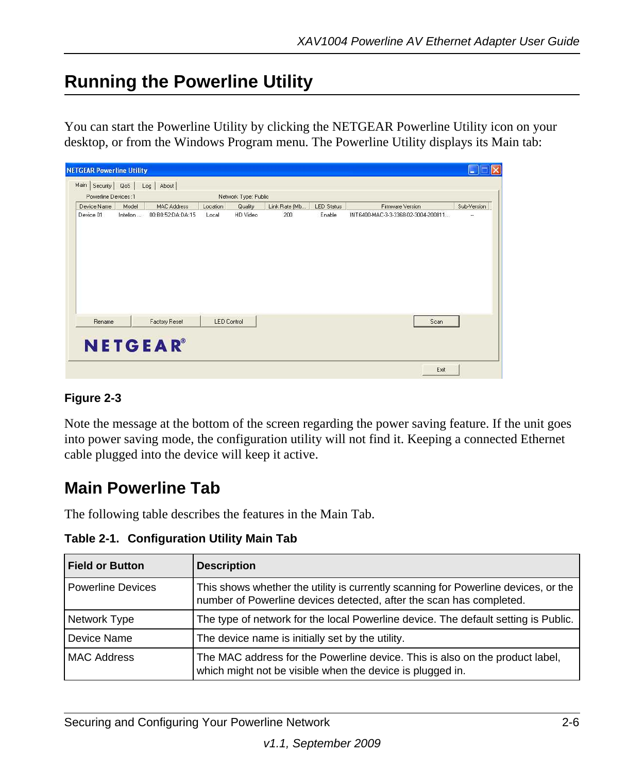### <span id="page-21-0"></span>**Running the Powerline Utility**

You can start the Powerline Utility by clicking the NETGEAR Powerline Utility icon on your desktop, or from the Windows Program menu. The Powerline Utility displays its Main tab:

| Device Name | Powerline Devices: 1<br>Model | <b>MAC Address</b> | Location | Network Type: Public<br>Quality | Link Rate (Mb | LED Status | Firmware Version                    | Sub-Version          |
|-------------|-------------------------------|--------------------|----------|---------------------------------|---------------|------------|-------------------------------------|----------------------|
| Device 01   | Intellon                      | 00:B0:52:DA:DA:15  | Local    | HD Video                        | 200           | Enable     | INT6400-MAC-3-3-3368-02-3004-200811 | $\ddot{\phantom{1}}$ |
|             |                               |                    |          |                                 |               |            |                                     |                      |

#### **Figure 2-3**

Note the message at the bottom of the screen regarding the power saving feature. If the unit goes into power saving mode, the configuration utility will not find it. Keeping a connected Ethernet cable plugged into the device will keep it active.

### <span id="page-21-1"></span>**Main Powerline Tab**

The following table describes the features in the Main Tab.

**Table 2-1. Configuration Utility Main Tab** 

| <b>Field or Button</b>   | <b>Description</b>                                                                                                                                        |
|--------------------------|-----------------------------------------------------------------------------------------------------------------------------------------------------------|
| <b>Powerline Devices</b> | This shows whether the utility is currently scanning for Powerline devices, or the<br>number of Powerline devices detected, after the scan has completed. |
| Network Type             | The type of network for the local Powerline device. The default setting is Public.                                                                        |
| Device Name              | The device name is initially set by the utility.                                                                                                          |
| <b>MAC Address</b>       | The MAC address for the Powerline device. This is also on the product label,<br>which might not be visible when the device is plugged in.                 |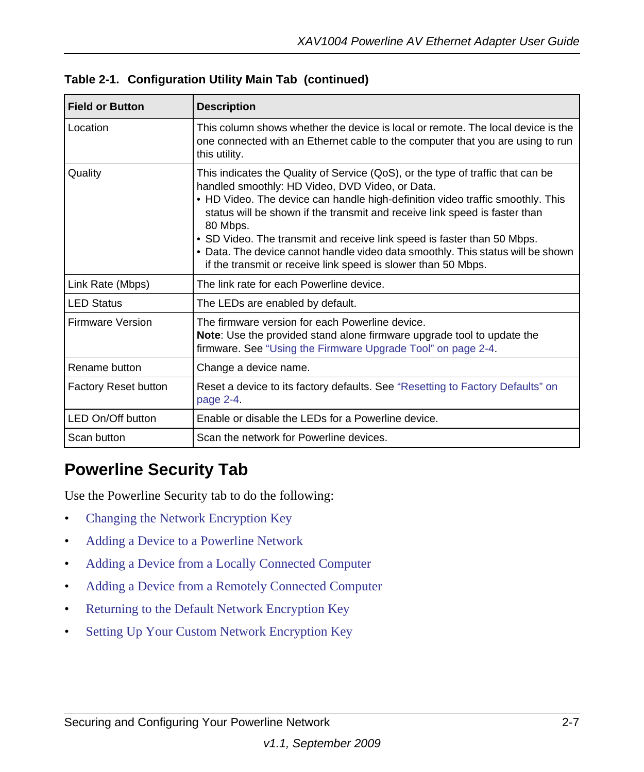| <b>Field or Button</b>      | <b>Description</b>                                                                                                                                                                                                                                                                                                                                                                                                                                                                                                                            |
|-----------------------------|-----------------------------------------------------------------------------------------------------------------------------------------------------------------------------------------------------------------------------------------------------------------------------------------------------------------------------------------------------------------------------------------------------------------------------------------------------------------------------------------------------------------------------------------------|
| Location                    | This column shows whether the device is local or remote. The local device is the<br>one connected with an Ethernet cable to the computer that you are using to run<br>this utility.                                                                                                                                                                                                                                                                                                                                                           |
| Quality                     | This indicates the Quality of Service (QoS), or the type of traffic that can be<br>handled smoothly: HD Video, DVD Video, or Data.<br>• HD Video. The device can handle high-definition video traffic smoothly. This<br>status will be shown if the transmit and receive link speed is faster than<br>80 Mbps.<br>• SD Video. The transmit and receive link speed is faster than 50 Mbps.<br>• Data. The device cannot handle video data smoothly. This status will be shown<br>if the transmit or receive link speed is slower than 50 Mbps. |
| Link Rate (Mbps)            | The link rate for each Powerline device.                                                                                                                                                                                                                                                                                                                                                                                                                                                                                                      |
| <b>LED Status</b>           | The LEDs are enabled by default.                                                                                                                                                                                                                                                                                                                                                                                                                                                                                                              |
| Firmware Version            | The firmware version for each Powerline device.<br><b>Note:</b> Use the provided stand alone firmware upgrade tool to update the<br>firmware. See "Using the Firmware Upgrade Tool" on page 2-4.                                                                                                                                                                                                                                                                                                                                              |
| Rename button               | Change a device name.                                                                                                                                                                                                                                                                                                                                                                                                                                                                                                                         |
| <b>Factory Reset button</b> | Reset a device to its factory defaults. See "Resetting to Factory Defaults" on<br>page 2-4.                                                                                                                                                                                                                                                                                                                                                                                                                                                   |
| LED On/Off button           | Enable or disable the LEDs for a Powerline device.                                                                                                                                                                                                                                                                                                                                                                                                                                                                                            |
| Scan button                 | Scan the network for Powerline devices.                                                                                                                                                                                                                                                                                                                                                                                                                                                                                                       |

**Table 2-1. Configuration Utility Main Tab (continued)**

### <span id="page-22-0"></span>**Powerline Security Tab**

Use the Powerline Security tab to do the following:

- [Changing the Network Encryption Key](#page-23-0)
- [Adding a Device to a Powerline Network](#page-24-0)
- [Adding a Device from a Locally Connected Computer](#page-25-0)
- [Adding a Device from a Remotely Connected Computer](#page-25-1)
- [Returning to the Default Network Encryption Key](#page-26-0)
- [Setting Up Your Custom Network Encryption Key](#page-26-1)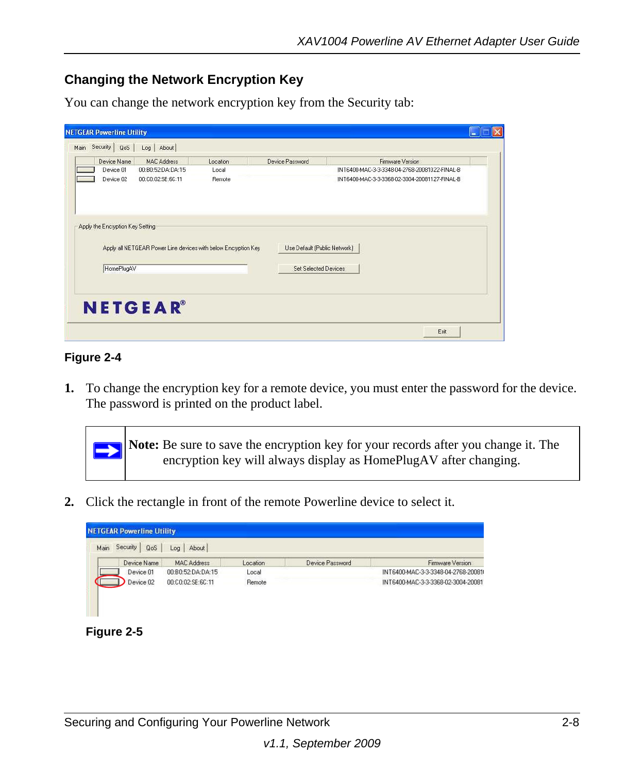#### <span id="page-23-1"></span><span id="page-23-0"></span>**Changing the Network Encryption Key**

You can change the network encryption key from the Security tab:

| Device Name                                    | <b>MAC Address</b>                                             | Location | Device Password                                             | Firmware Version                              |
|------------------------------------------------|----------------------------------------------------------------|----------|-------------------------------------------------------------|-----------------------------------------------|
| Device 01                                      | 00:B0:52:DA:DA:15                                              | Local    |                                                             | INT6400-MAC-3-3-3348-04-2768-20081022-FINAL-B |
| Device 02                                      | 00:C0:02:SE:6C:11                                              | Remote   |                                                             | INT6400-MAC-3-3-3368-02-3004-20081127-FINAL-B |
| Apply the Encryption Key Setting<br>HomePlugAV | Apply all NETGEAR Power Line devices with below Encryption Key |          | Use Default (Public Network)<br><b>Set Selected Devices</b> |                                               |

#### **Figure 2-4**

**1.** To change the encryption key for a remote device, you must enter the password for the device. The password is printed on the product label.

**Note:** Be sure to save the encryption key for your records after you change it. The encryption key will always display as HomePlugAV after changing.

**2.** Click the rectangle in front of the remote Powerline device to select it.

| Main | <b>QoS</b><br>Security | About<br>Log       |          |                 |                                    |
|------|------------------------|--------------------|----------|-----------------|------------------------------------|
|      | Device Name            | <b>MAC Address</b> | Location | Device Password | Firmware Version                   |
|      | Device 01              | 00:B0:52:DA:DA:15  | Local    |                 | INT6400-MAC-3-3-3348-04-2768-20081 |
|      | Device 02              | 00:C0:02:SE:6C:11  | Remote   |                 | INT6400-MAC-3-3-3368-02-3004-20081 |

**Figure 2-5**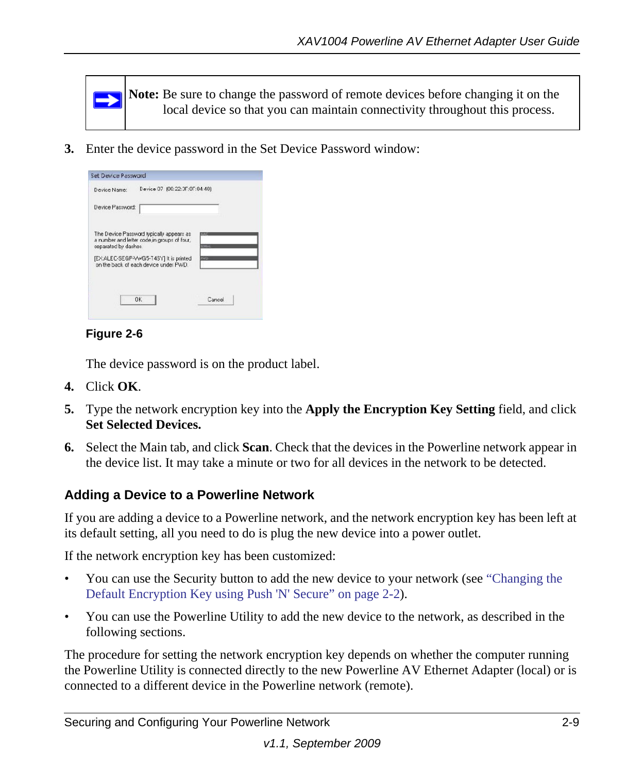

**3.** Enter the device password in the Set Device Password window:

| Device Name:         | Device 07 (00:22:0F:0F:04:40)                                                    |               |
|----------------------|----------------------------------------------------------------------------------|---------------|
| Device Password:     |                                                                                  |               |
|                      | The Device Password typically appears as                                         |               |
|                      | a number and letter code in groups of four.                                      | <b>CENTAS</b> |
| separated by dashes. | [EX:ALEC-SEGP-Vv/G5-T45Y] It is printed<br>on the back of each device under PWD. | <b>PWD</b>    |
|                      |                                                                                  |               |

#### **Figure 2-6**

The device password is on the product label.

- **4.** Click **OK**.
- **5.** Type the network encryption key into the **Apply the Encryption Key Setting** field, and click **Set Selected Devices.**
- **6.** Select the Main tab, and click **Scan**. Check that the devices in the Powerline network appear in the device list. It may take a minute or two for all devices in the network to be detected.

#### <span id="page-24-0"></span>**Adding a Device to a Powerline Network**

If you are adding a device to a Powerline network, and the network encryption key has been left at its default setting, all you need to do is plug the new device into a power outlet.

If the network encryption key has been customized:

- You can use the Security button to add the new device to your network (see ["Changing the](#page-17-0)  [Default Encryption Key using Push 'N' Secure" on page 2-2](#page-17-0)).
- You can use the Powerline Utility to add the new device to the network, as described in the following sections.

The procedure for setting the network encryption key depends on whether the computer running the Powerline Utility is connected directly to the new Powerline AV Ethernet Adapter (local) or is connected to a different device in the Powerline network (remote).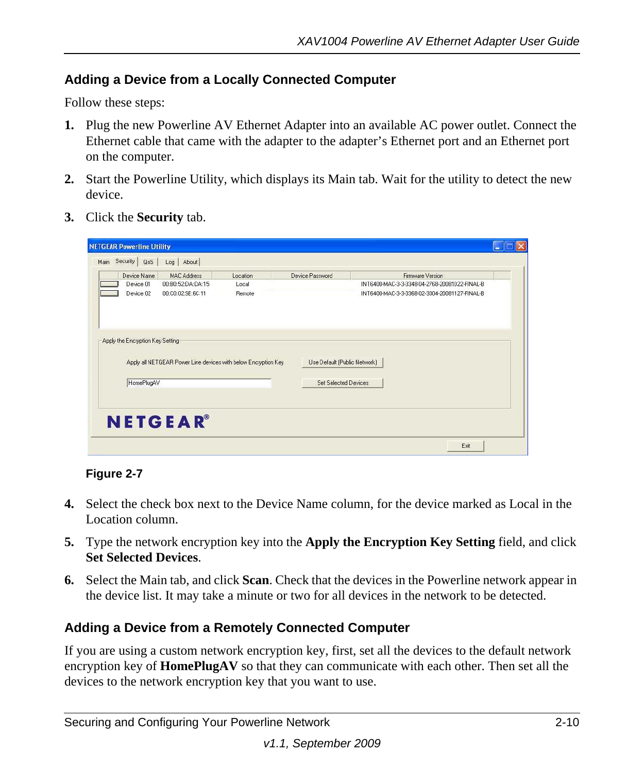#### <span id="page-25-0"></span>**Adding a Device from a Locally Connected Computer**

Follow these steps:

- **1.** Plug the new Powerline AV Ethernet Adapter into an available AC power outlet. Connect the Ethernet cable that came with the adapter to the adapter's Ethernet port and an Ethernet port on the computer.
- **2.** Start the Powerline Utility, which displays its Main tab. Wait for the utility to detect the new device.
- **3.** Click the **Security** tab.

| Device Name<br>Device 01         | <b>MAC Address</b><br>00:B0:52:DA:DA:15                        | Location<br>Local | Device Password              | Firmware Version<br>INT6400-MAC-3-3-3348-04-2768-20081022-FINAL-B |
|----------------------------------|----------------------------------------------------------------|-------------------|------------------------------|-------------------------------------------------------------------|
| Device 02                        | 00:00:02:SE:6C:11                                              | Remote            |                              | INT6400-MAC-3-3-3368-02-3004-20081127-FINAL-B                     |
|                                  |                                                                |                   |                              |                                                                   |
| Apply the Encryption Key Setting |                                                                |                   |                              |                                                                   |
|                                  | Apply all NETGEAR Power Line devices with below Encryption Key |                   | Use Default [Public Network] |                                                                   |
| HomePlugAV                       |                                                                |                   | <b>Set Selected Devices</b>  |                                                                   |

**Figure 2-7**

- **4.** Select the check box next to the Device Name column, for the device marked as Local in the Location column.
- **5.** Type the network encryption key into the **Apply the Encryption Key Setting** field, and click **Set Selected Devices**.
- **6.** Select the Main tab, and click **Scan**. Check that the devices in the Powerline network appear in the device list. It may take a minute or two for all devices in the network to be detected.

#### <span id="page-25-1"></span>**Adding a Device from a Remotely Connected Computer**

If you are using a custom network encryption key, first, set all the devices to the default network encryption key of **HomePlugAV** so that they can communicate with each other. Then set all the devices to the network encryption key that you want to use.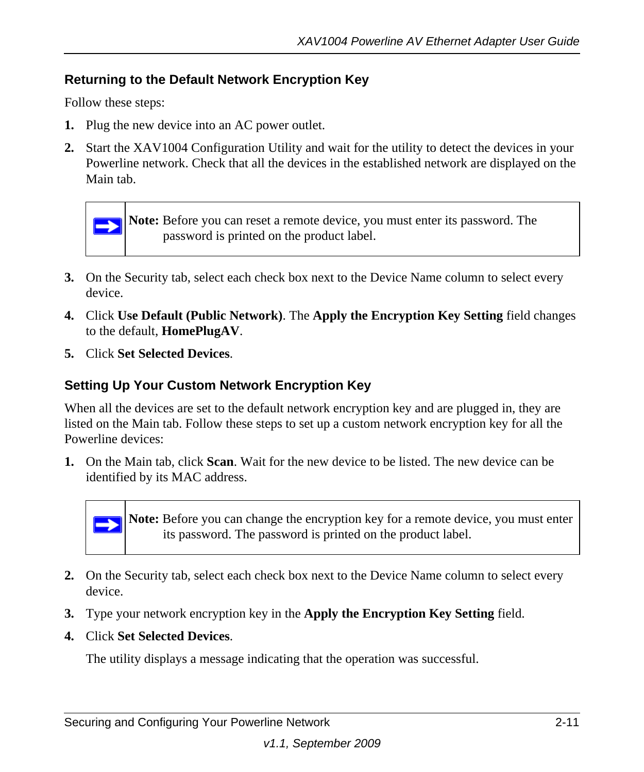#### <span id="page-26-0"></span>**Returning to the Default Network Encryption Key**

Follow these steps:

- **1.** Plug the new device into an AC power outlet.
- **2.** Start the XAV1004 Configuration Utility and wait for the utility to detect the devices in your Powerline network. Check that all the devices in the established network are displayed on the Main tab.



- **3.** On the Security tab, select each check box next to the Device Name column to select every device.
- **4.** Click **Use Default (Public Network)**. The **Apply the Encryption Key Setting** field changes to the default, **HomePlugAV**.
- **5.** Click **Set Selected Devices**.

#### <span id="page-26-1"></span>**Setting Up Your Custom Network Encryption Key**

When all the devices are set to the default network encryption key and are plugged in, they are listed on the Main tab. Follow these steps to set up a custom network encryption key for all the Powerline devices:

**1.** On the Main tab, click **Scan**. Wait for the new device to be listed. The new device can be identified by its MAC address.



**Note:** Before you can change the encryption key for a remote device, you must enter its password. The password is printed on the product label.

- **2.** On the Security tab, select each check box next to the Device Name column to select every device.
- **3.** Type your network encryption key in the **Apply the Encryption Key Setting** field.
- **4.** Click **Set Selected Devices**.

The utility displays a message indicating that the operation was successful.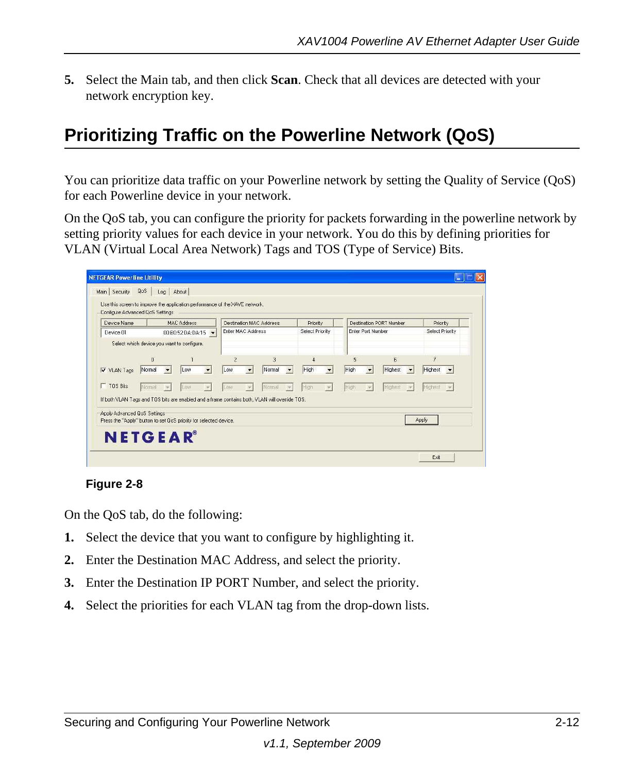**5.** Select the Main tab, and then click **Scan**. Check that all devices are detected with your network encryption key.

### <span id="page-27-1"></span><span id="page-27-0"></span>**Prioritizing Traffic on the Powerline Network (QoS)**

You can prioritize data traffic on your Powerline network by setting the Quality of Service (QoS) for each Powerline device in your network.

On the QoS tab, you can configure the priority for packets forwarding in the powerline network by setting priority values for each device in your network. You do this by defining priorities for VLAN (Virtual Local Area Network) Tags and TOS (Type of Service) Bits.

| Device Name                                                                                                        |                          |           | MAC Address       |                          |                       | Destination MAC Address  |                      | Priority        |   |                        |                   | Destination PORT Number |                          | Priority                                              |  |
|--------------------------------------------------------------------------------------------------------------------|--------------------------|-----------|-------------------|--------------------------|-----------------------|--------------------------|----------------------|-----------------|---|------------------------|-------------------|-------------------------|--------------------------|-------------------------------------------------------|--|
| Device 01                                                                                                          |                          |           | 00:B0:52:DA:DA:15 |                          | Enter MAC Address     |                          |                      | Select Priority |   |                        | Enter Port Number |                         |                          | Select Priority                                       |  |
| Select which device you want to configure.<br>V VLAN Tags                                                          | $\mathfrak{a}$<br>Normal | $\bullet$ | Low               | $\overline{\phantom{a}}$ | $\overline{c}$<br>Low | $\overline{3}$<br>Normal | $\blacktriangledown$ | 4<br>High       | ۰ | $\overline{5}$<br>High |                   | $\ddot{f}$<br>Highest   | $\overline{\phantom{a}}$ | $\overline{7}$<br>Highest<br>$\overline{\phantom{a}}$ |  |
| $\Gamma$ TOS Bits<br>If both VLAN Tags and TOS bits are enabled and a frame contains both, VLAN will override TOS. | Normal                   |           | Light             |                          | na                    | Normal                   |                      |                 |   |                        |                   |                         |                          | Highest<br>$\sqrt{2}$                                 |  |
| Apply Advanced QoS Settings                                                                                        |                          |           |                   |                          |                       |                          |                      |                 |   |                        |                   |                         | Apply                    |                                                       |  |

#### **Figure 2-8**

On the QoS tab, do the following:

- **1.** Select the device that you want to configure by highlighting it.
- **2.** Enter the Destination MAC Address, and select the priority.
- **3.** Enter the Destination IP PORT Number, and select the priority.
- **4.** Select the priorities for each VLAN tag from the drop-down lists.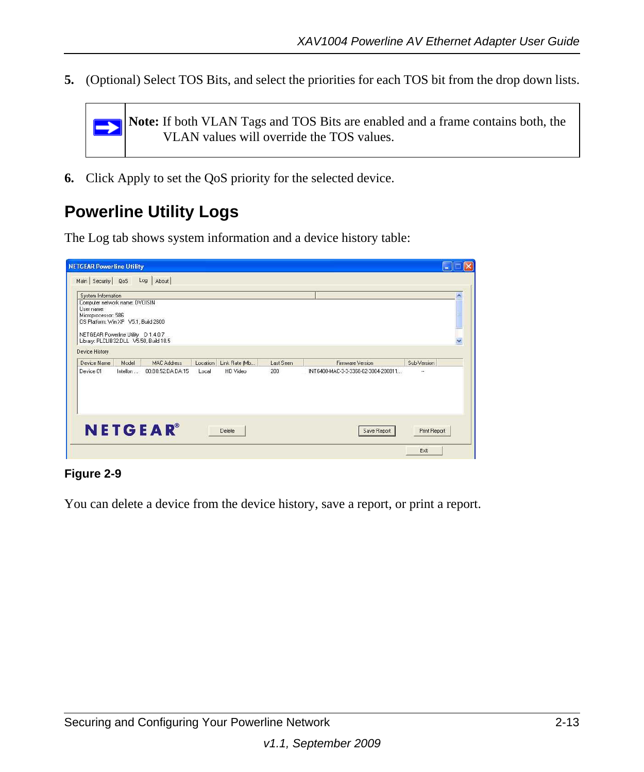**5.** (Optional) Select TOS Bits, and select the priorities for each TOS bit from the drop down lists.



**6.** Click Apply to set the QoS priority for the selected device.

### <span id="page-28-0"></span>**Powerline Utility Logs**

The Log tab shows system information and a device history table:

| Device History                                                                                                                                                                                                                                                   | $\checkmark$ |
|------------------------------------------------------------------------------------------------------------------------------------------------------------------------------------------------------------------------------------------------------------------|--------------|
| Sub-Version<br>Device Name<br>Model<br>Location<br>Link Rate [Mb<br>Firmware Version<br><b>MAC Address</b><br>Last Seen<br>00:B0:52:DA:DA:15<br>HD Video<br>INT6400-MAC-3-3-3368-02-3004-200811<br>Device 01<br>Intellon<br>200<br>Local<br>$\ddot{\phantom{0}}$ |              |
|                                                                                                                                                                                                                                                                  |              |

#### **Figure 2-9**

You can delete a device from the device history, save a report, or print a report.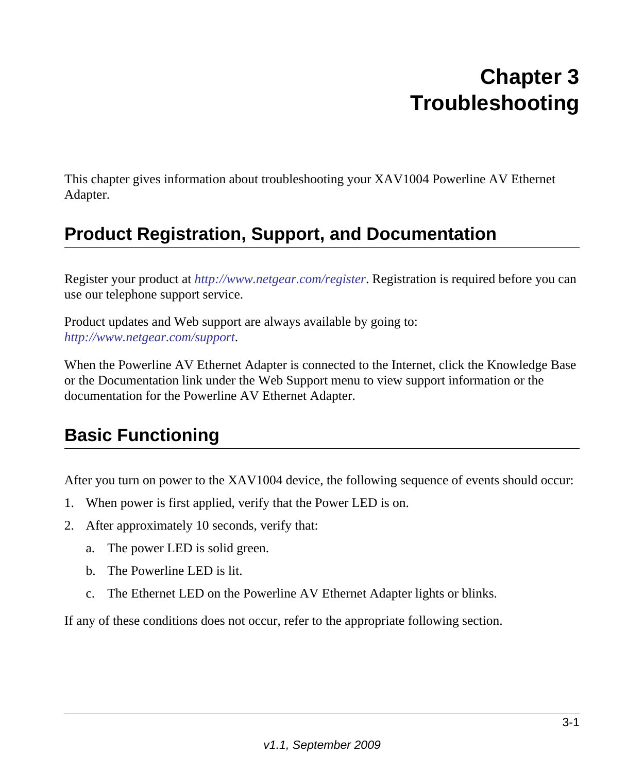# **Chapter 3 Troubleshooting**

<span id="page-29-0"></span>This chapter gives information about troubleshooting your XAV1004 Powerline AV Ethernet Adapter.

### <span id="page-29-1"></span>**Product Registration, Support, and Documentation**

Register your product at *<http://www.netgear.com/register>*. Registration is required before you can use our telephone support service.

Product updates and Web support are always available by going to: *<http://www.netgear.com/support>*.

When the Powerline AV Ethernet Adapter is connected to the Internet, click the Knowledge Base or the Documentation link under the Web Support menu to view support information or the documentation for the Powerline AV Ethernet Adapter.

### <span id="page-29-2"></span>**Basic Functioning**

After you turn on power to the XAV1004 device, the following sequence of events should occur:

- 1. When power is first applied, verify that the Power LED is on.
- 2. After approximately 10 seconds, verify that:
	- a. The power LED is solid green.
	- b. The Powerline LED is lit.
	- c. The Ethernet LED on the Powerline AV Ethernet Adapter lights or blinks.

If any of these conditions does not occur, refer to the appropriate following section.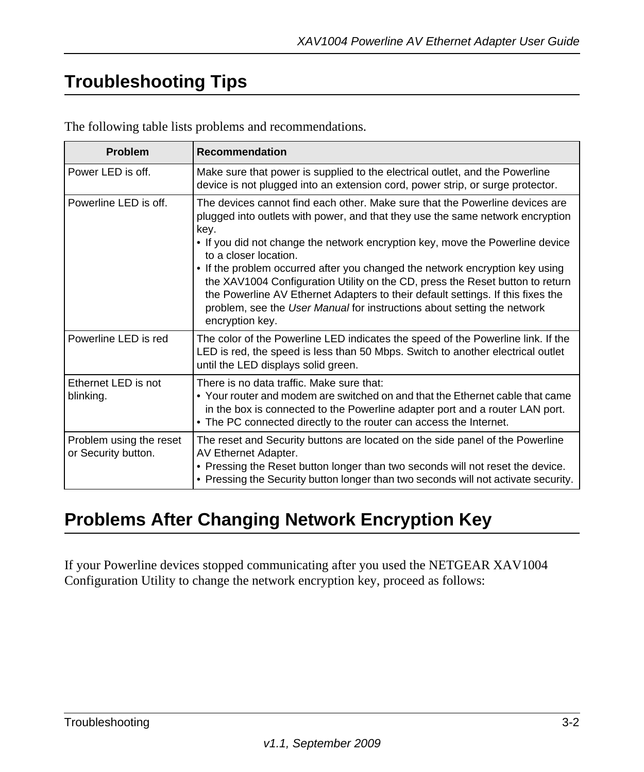### <span id="page-30-0"></span>**Troubleshooting Tips**

| <b>Problem</b>                                 | <b>Recommendation</b>                                                                                                                                                                                                                                                                                                                                                                                                                                                                                                                                                                                                              |
|------------------------------------------------|------------------------------------------------------------------------------------------------------------------------------------------------------------------------------------------------------------------------------------------------------------------------------------------------------------------------------------------------------------------------------------------------------------------------------------------------------------------------------------------------------------------------------------------------------------------------------------------------------------------------------------|
| Power LED is off.                              | Make sure that power is supplied to the electrical outlet, and the Powerline<br>device is not plugged into an extension cord, power strip, or surge protector.                                                                                                                                                                                                                                                                                                                                                                                                                                                                     |
| Powerline LED is off.                          | The devices cannot find each other. Make sure that the Powerline devices are<br>plugged into outlets with power, and that they use the same network encryption<br>key.<br>. If you did not change the network encryption key, move the Powerline device<br>to a closer location.<br>• If the problem occurred after you changed the network encryption key using<br>the XAV1004 Configuration Utility on the CD, press the Reset button to return<br>the Powerline AV Ethernet Adapters to their default settings. If this fixes the<br>problem, see the User Manual for instructions about setting the network<br>encryption key. |
| Powerline LED is red                           | The color of the Powerline LED indicates the speed of the Powerline link. If the<br>LED is red, the speed is less than 50 Mbps. Switch to another electrical outlet<br>until the LED displays solid green.                                                                                                                                                                                                                                                                                                                                                                                                                         |
| Ethernet LED is not<br>blinking.               | There is no data traffic. Make sure that:<br>• Your router and modem are switched on and that the Ethernet cable that came<br>in the box is connected to the Powerline adapter port and a router LAN port.<br>• The PC connected directly to the router can access the Internet.                                                                                                                                                                                                                                                                                                                                                   |
| Problem using the reset<br>or Security button. | The reset and Security buttons are located on the side panel of the Powerline<br>AV Ethernet Adapter.<br>• Pressing the Reset button longer than two seconds will not reset the device.<br>• Pressing the Security button longer than two seconds will not activate security.                                                                                                                                                                                                                                                                                                                                                      |

### <span id="page-30-1"></span>**Problems After Changing Network Encryption Key**

If your Powerline devices stopped communicating after you used the NETGEAR XAV1004 Configuration Utility to change the network encryption key, proceed as follows: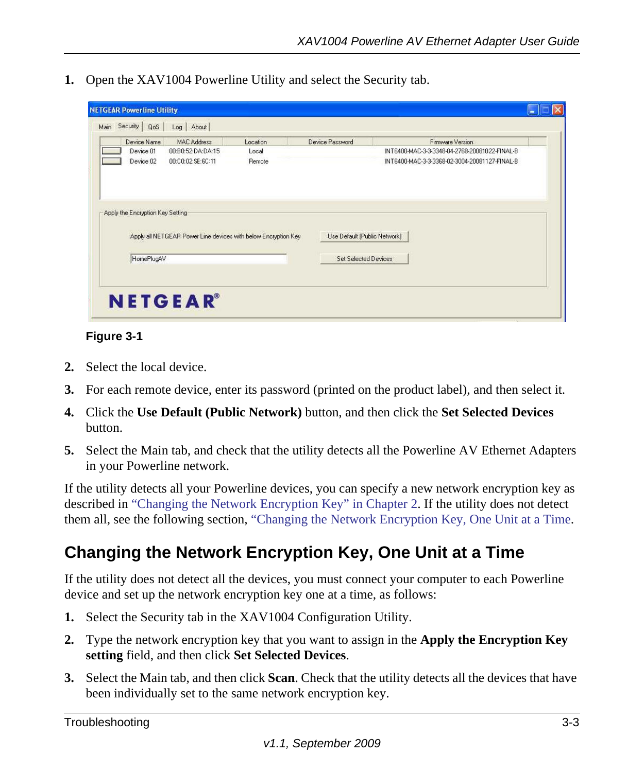**1.** Open the XAV1004 Powerline Utility and select the Security tab.

| 00:C0:02:SE:6C:11<br>Remote<br>Apply the Encryption Key Setting<br>Apply all NETGEAR Power Line devices with below Encryption Key<br>Use Default (Public Network) | Device 01 | <b>MAC Address</b><br>00:B0:52:DA:DA:15 | Location<br>Local | Device Password | Firmware Version<br>INT6400-MAC-3-3-3348-04-2768-20081022-FINAL-B |
|-------------------------------------------------------------------------------------------------------------------------------------------------------------------|-----------|-----------------------------------------|-------------------|-----------------|-------------------------------------------------------------------|
|                                                                                                                                                                   | Device 02 |                                         |                   |                 | INT6400-MAC-3-3-3368-02-3004-20081127-FINAL-B                     |
|                                                                                                                                                                   |           |                                         |                   |                 |                                                                   |
|                                                                                                                                                                   |           |                                         |                   |                 |                                                                   |
|                                                                                                                                                                   |           |                                         |                   |                 |                                                                   |
| HomePlugAV<br><b>Set Selected Devices</b>                                                                                                                         |           |                                         |                   |                 |                                                                   |

#### **Figure 3-1**

- **2.** Select the local device.
- **3.** For each remote device, enter its password (printed on the product label), and then select it.
- **4.** Click the **Use Default (Public Network)** button, and then click the **Set Selected Devices** button.
- **5.** Select the Main tab, and check that the utility detects all the Powerline AV Ethernet Adapters in your Powerline network.

If the utility detects all your Powerline devices, you can specify a new network encryption key as described in ["Changing the Network Encryption Key" in Chapter 2](#page-23-1). If the utility does not detect them all, see the following section, ["Changing the Network Encryption Key, One Unit at a Time.](#page-31-0)

### <span id="page-31-0"></span>**Changing the Network Encryption Key, One Unit at a Time**

If the utility does not detect all the devices, you must connect your computer to each Powerline device and set up the network encryption key one at a time, as follows:

- **1.** Select the Security tab in the XAV1004 Configuration Utility.
- **2.** Type the network encryption key that you want to assign in the **Apply the Encryption Key setting** field, and then click **Set Selected Devices**.
- **3.** Select the Main tab, and then click **Scan**. Check that the utility detects all the devices that have been individually set to the same network encryption key.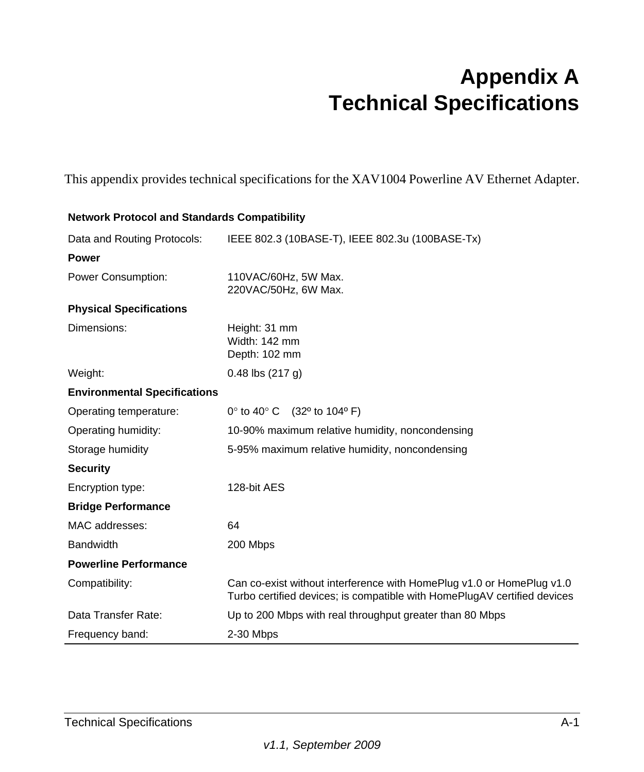# **Appendix A Technical Specifications**

<span id="page-32-0"></span>This appendix provides technical specifications for the XAV1004 Powerline AV Ethernet Adapter.

| <b>Network Protocol and Standards Compatibility</b> |                                                                                                                                                   |
|-----------------------------------------------------|---------------------------------------------------------------------------------------------------------------------------------------------------|
| Data and Routing Protocols:                         | IEEE 802.3 (10BASE-T), IEEE 802.3u (100BASE-Tx)                                                                                                   |
| <b>Power</b>                                        |                                                                                                                                                   |
| Power Consumption:                                  | 110VAC/60Hz, 5W Max.<br>220VAC/50Hz, 6W Max.                                                                                                      |
| <b>Physical Specifications</b>                      |                                                                                                                                                   |
| Dimensions:                                         | Height: 31 mm<br>Width: 142 mm<br>Depth: 102 mm                                                                                                   |
| Weight:                                             | $0.48$ lbs $(217 g)$                                                                                                                              |
| <b>Environmental Specifications</b>                 |                                                                                                                                                   |
| Operating temperature:                              | $0^\circ$ to 40 $^\circ$ C<br>(32º to 104º F)                                                                                                     |
| Operating humidity:                                 | 10-90% maximum relative humidity, noncondensing                                                                                                   |
| Storage humidity                                    | 5-95% maximum relative humidity, noncondensing                                                                                                    |
| <b>Security</b>                                     |                                                                                                                                                   |
| Encryption type:                                    | 128-bit AES                                                                                                                                       |
| <b>Bridge Performance</b>                           |                                                                                                                                                   |
| MAC addresses:                                      | 64                                                                                                                                                |
| <b>Bandwidth</b>                                    | 200 Mbps                                                                                                                                          |
| <b>Powerline Performance</b>                        |                                                                                                                                                   |
| Compatibility:                                      | Can co-exist without interference with HomePlug v1.0 or HomePlug v1.0<br>Turbo certified devices; is compatible with HomePlugAV certified devices |
| Data Transfer Rate:                                 | Up to 200 Mbps with real throughput greater than 80 Mbps                                                                                          |
| Frequency band:                                     | 2-30 Mbps                                                                                                                                         |